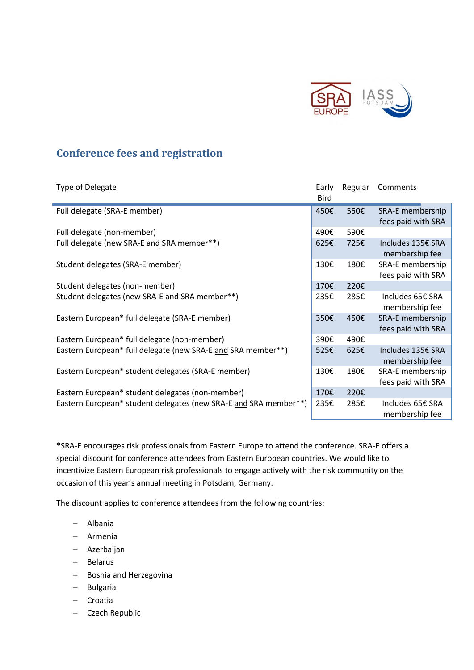

## **Conference fees and registration**

| Type of Delegate                                                 | Early<br><b>Bird</b> | Regular | Comments                               |
|------------------------------------------------------------------|----------------------|---------|----------------------------------------|
| Full delegate (SRA-E member)                                     | 450€                 | 550€    | SRA-E membership<br>fees paid with SRA |
| Full delegate (non-member)                                       | 490€                 | 590€    |                                        |
| Full delegate (new SRA-E and SRA member**)                       | 625E                 | 725€    | Includes 135€ SRA<br>membership fee    |
| Student delegates (SRA-E member)                                 | 130€                 | 180€    | SRA-E membership<br>fees paid with SRA |
| Student delegates (non-member)                                   | 170€                 | 220€    |                                        |
| Student delegates (new SRA-E and SRA member**)                   | 235E                 | 285€    | Includes 65€ SRA<br>membership fee     |
| Eastern European* full delegate (SRA-E member)                   | 350€                 | 450€    | SRA-E membership<br>fees paid with SRA |
| Eastern European* full delegate (non-member)                     | 390€                 | 490€    |                                        |
| Eastern European* full delegate (new SRA-E and SRA member**)     | 525€                 | 625€    | Includes 135€ SRA<br>membership fee    |
| Eastern European* student delegates (SRA-E member)               | 130€                 | 180€    | SRA-E membership<br>fees paid with SRA |
| Eastern European* student delegates (non-member)                 | 170€                 | 220€    |                                        |
| Eastern European* student delegates (new SRA-E and SRA member**) | 235€                 | 285€    | Includes 65€ SRA<br>membership fee     |

\*SRA-E encourages risk professionals from Eastern Europe to attend the conference. SRA-E offers a special discount for conference attendees from Eastern European countries. We would like to incentivize Eastern European risk professionals to engage actively with the risk community on the occasion of this year's annual meeting in Potsdam, Germany.

The discount applies to conference attendees from the following countries:

- Albania
- Armenia
- Azerbaijan
- Belarus
- Bosnia and Herzegovina
- Bulgaria
- Croatia
- Czech Republic